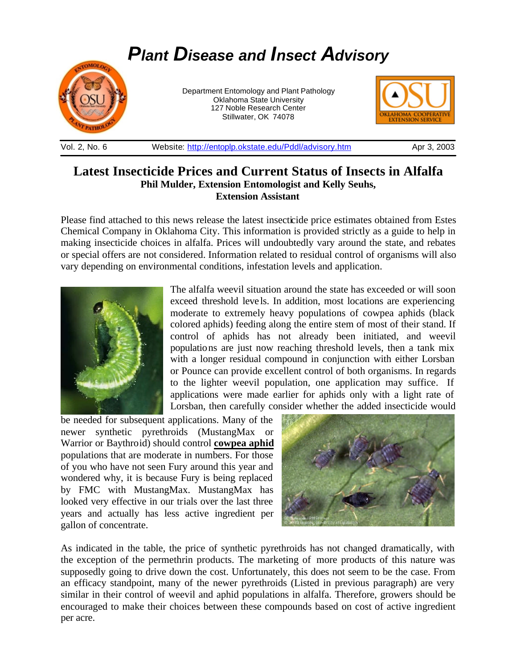

## Vol. 2, No. 6 Website: http://entoplp.okstate.edu/Pddl/advisory.htm Apr 3, 2003

## **Latest Insecticide Prices and Current Status of Insects in Alfalfa Phil Mulder, Extension Entomologist and Kelly Seuhs, Extension Assistant**

Please find attached to this news release the latest insecticide price estimates obtained from Estes Chemical Company in Oklahoma City. This information is provided strictly as a guide to help in making insecticide choices in alfalfa. Prices will undoubtedly vary around the state, and rebates or special offers are not considered. Information related to residual control of organisms will also vary depending on environmental conditions, infestation levels and application.



The alfalfa weevil situation around the state has exceeded or will soon exceed threshold levels. In addition, most locations are experiencing moderate to extremely heavy populations of cowpea aphids (black colored aphids) feeding along the entire stem of most of their stand. If control of aphids has not already been initiated, and weevil populations are just now reaching threshold levels, then a tank mix with a longer residual compound in conjunction with either Lorsban or Pounce can provide excellent control of both organisms. In regards to the lighter weevil population, one application may suffice. If applications were made earlier for aphids only with a light rate of Lorsban, then carefully consider whether the added insecticide would

be needed for subsequent applications. Many of the newer synthetic pyrethroids (MustangMax or Warrior or Baythroid) should control **cowpea aphid** populations that are moderate in numbers. For those of you who have not seen Fury around this year and wondered why, it is because Fury is being replaced by FMC with MustangMax. MustangMax has looked very effective in our trials over the last three years and actually has less active ingredient per gallon of concentrate.



As indicated in the table, the price of synthetic pyrethroids has not changed dramatically, with the exception of the permethrin products. The marketing of more products of this nature was supposedly going to drive down the cost. Unfortunately, this does not seem to be the case. From an efficacy standpoint, many of the newer pyrethroids (Listed in previous paragraph) are very similar in their control of weevil and aphid populations in alfalfa. Therefore, growers should be encouraged to make their choices between these compounds based on cost of active ingredient per acre.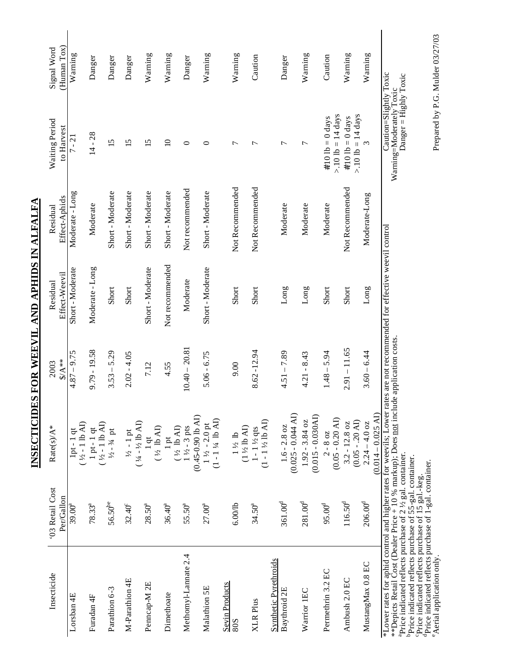| Warning<br>Warning<br>Warning<br>Warning<br>Warning<br>Warning<br>Warning<br>Caution<br>Caution<br>Danger<br>Danger<br>Danger<br>Danger<br>Danger<br>$> 10$ lb = 14 days<br>$> 10$ lb = 14 days<br>#.10 lb = $0$ days<br>#.10 lb = $0$ days<br>$14 - 28$<br>15<br>$\Box$<br>15<br>15<br>3<br>$\circ$<br>$\circ$<br>$\overline{ }$<br>$\overline{ }$<br>$\overline{ }$<br>$\overline{ }$<br>Not Recommended<br>Not Recommended<br>Not Recommended<br>Not recommended<br>Short - Moderate<br>Short - Moderate<br>Short - Moderate<br>Short - Moderate<br>Short - Moderate<br>Moderate-Long<br>Moderate<br>Moderate<br>Moderate<br>Moderate<br>Not recommended<br>Moderate - Long<br>Short - Moderate<br>Short - Moderate<br>Moderate<br>Long<br>Long<br>Long<br>Short<br>Short<br>Short<br>Short<br>Short<br>Short<br>$2.91 - 11.65$<br>$10.40 - 20.81$<br>$9.79 - 19.58$<br>$8.62 - 12.94$<br>$3.53 - 5.29$<br>$3.60 - 6.44$<br>$4.51 - 7.89$<br>$1.48 - 5.94$<br>$2.02 - 4.05$<br>$5.06 - 6.75$<br>$4.21 - 8.43$<br>7.12<br>9.00<br>4.55<br>$(0.014 - 0.025)$ AI<br>$(0.025 - 0.044$ AI)<br>$(0.015 - 0.030A1)$<br>$(0.45-0.90$ lb AI)<br>$(0.05 - 0.20 \text{ AD})$<br>$(1 - 1)4$ lb AI)<br>$(1 - 1\frac{1}{2}$ lb AI)<br>$1.92 - 3.84$ oz<br>$(0.05 - 0.20)$<br>$(14 - 1/2$ lb AI)<br>$3.2 - 12.8$ oz<br>$2.24 - 4.0$ oz<br>$\begin{array}{c} 1\ \text{pt} \text{-}\ 1\ \text{qt}\\ (\text{ } \text{4-1 lb~AU}) \end{array}$<br>$1\frac{1}{2} - 2.0$ pt<br>$1.6 - 2.8$ oz<br>$(1/2 \, h \, \text{AD})$<br>$1\,\mathrm{pt}$ ( $1/2\,$ lb AI)<br>$(1\frac{1}{2}$ lb AI)<br>$1\frac{1}{2} - 3$ pts<br>$1 - 1\frac{1}{2}$ qts<br>$1/2 - 3/4$ pt<br>$\frac{1}{2}$ - 1 pt<br>$1\,\mathrm{\AA}$ lb<br>$2 - 8 oz$<br>$1$ qt<br>$206.00^{\rm d}$<br>$361.00^{d}$<br>$281.00^{\rm d}$<br>$116.50^{d}$<br>$56.50^{be}$<br>$95.00^{\rm d}$<br>6.00/lb<br>$78.33^{a}$<br>$32.40^{\circ}$<br>28.50 <sup>a</sup><br>$36.40^{a}$<br>55.50ª<br>27.00 <sup>a</sup><br>34.50 <sup>a</sup><br>Parathion 6-3<br>Furadan 4F | Insecticide<br>Lorsban 4E                    | '03 Retail Cost<br>Per/Gallon<br>39.00 <sup>a</sup> | Rate(s)/A*                        | $4.87 - 9.75$<br>$A^{**}$<br>2003 | Short - Moderate<br>Effect-Weevil<br>Residual | Moderate - Long<br>Effect-Aphids<br>Residual | Waiting Period<br>to Harvest<br>$7 - 21$ | (Human Tox)<br>Signal Word<br>Warning |
|---------------------------------------------------------------------------------------------------------------------------------------------------------------------------------------------------------------------------------------------------------------------------------------------------------------------------------------------------------------------------------------------------------------------------------------------------------------------------------------------------------------------------------------------------------------------------------------------------------------------------------------------------------------------------------------------------------------------------------------------------------------------------------------------------------------------------------------------------------------------------------------------------------------------------------------------------------------------------------------------------------------------------------------------------------------------------------------------------------------------------------------------------------------------------------------------------------------------------------------------------------------------------------------------------------------------------------------------------------------------------------------------------------------------------------------------------------------------------------------------------------------------------------------------------------------------------------------------------------------------------------------------------------------------------------------------------------------------------------------------------------------------------------------------------------------------------------------------------------------------------------------------------------------------------------------------------------------------------------------------------------|----------------------------------------------|-----------------------------------------------------|-----------------------------------|-----------------------------------|-----------------------------------------------|----------------------------------------------|------------------------------------------|---------------------------------------|
|                                                                                                                                                                                                                                                                                                                                                                                                                                                                                                                                                                                                                                                                                                                                                                                                                                                                                                                                                                                                                                                                                                                                                                                                                                                                                                                                                                                                                                                                                                                                                                                                                                                                                                                                                                                                                                                                                                                                                                                                         |                                              |                                                     | $1pt - 1 qt$<br>$(+2 - 1 lb A I)$ |                                   |                                               |                                              |                                          |                                       |
|                                                                                                                                                                                                                                                                                                                                                                                                                                                                                                                                                                                                                                                                                                                                                                                                                                                                                                                                                                                                                                                                                                                                                                                                                                                                                                                                                                                                                                                                                                                                                                                                                                                                                                                                                                                                                                                                                                                                                                                                         |                                              |                                                     |                                   |                                   |                                               |                                              |                                          |                                       |
|                                                                                                                                                                                                                                                                                                                                                                                                                                                                                                                                                                                                                                                                                                                                                                                                                                                                                                                                                                                                                                                                                                                                                                                                                                                                                                                                                                                                                                                                                                                                                                                                                                                                                                                                                                                                                                                                                                                                                                                                         |                                              |                                                     |                                   |                                   |                                               |                                              |                                          |                                       |
|                                                                                                                                                                                                                                                                                                                                                                                                                                                                                                                                                                                                                                                                                                                                                                                                                                                                                                                                                                                                                                                                                                                                                                                                                                                                                                                                                                                                                                                                                                                                                                                                                                                                                                                                                                                                                                                                                                                                                                                                         | M-Parathion 4E                               |                                                     |                                   |                                   |                                               |                                              |                                          |                                       |
|                                                                                                                                                                                                                                                                                                                                                                                                                                                                                                                                                                                                                                                                                                                                                                                                                                                                                                                                                                                                                                                                                                                                                                                                                                                                                                                                                                                                                                                                                                                                                                                                                                                                                                                                                                                                                                                                                                                                                                                                         | Penncap-M <sub>2E</sub>                      |                                                     |                                   |                                   |                                               |                                              |                                          |                                       |
|                                                                                                                                                                                                                                                                                                                                                                                                                                                                                                                                                                                                                                                                                                                                                                                                                                                                                                                                                                                                                                                                                                                                                                                                                                                                                                                                                                                                                                                                                                                                                                                                                                                                                                                                                                                                                                                                                                                                                                                                         | Dimethoate                                   |                                                     |                                   |                                   |                                               |                                              |                                          |                                       |
|                                                                                                                                                                                                                                                                                                                                                                                                                                                                                                                                                                                                                                                                                                                                                                                                                                                                                                                                                                                                                                                                                                                                                                                                                                                                                                                                                                                                                                                                                                                                                                                                                                                                                                                                                                                                                                                                                                                                                                                                         | Methomyl-Lannate 2.4                         |                                                     |                                   |                                   |                                               |                                              |                                          |                                       |
|                                                                                                                                                                                                                                                                                                                                                                                                                                                                                                                                                                                                                                                                                                                                                                                                                                                                                                                                                                                                                                                                                                                                                                                                                                                                                                                                                                                                                                                                                                                                                                                                                                                                                                                                                                                                                                                                                                                                                                                                         | Malathion 5E                                 |                                                     |                                   |                                   |                                               |                                              |                                          |                                       |
|                                                                                                                                                                                                                                                                                                                                                                                                                                                                                                                                                                                                                                                                                                                                                                                                                                                                                                                                                                                                                                                                                                                                                                                                                                                                                                                                                                                                                                                                                                                                                                                                                                                                                                                                                                                                                                                                                                                                                                                                         | <b>Sevin Products</b>                        |                                                     |                                   |                                   |                                               |                                              |                                          |                                       |
|                                                                                                                                                                                                                                                                                                                                                                                                                                                                                                                                                                                                                                                                                                                                                                                                                                                                                                                                                                                                                                                                                                                                                                                                                                                                                                                                                                                                                                                                                                                                                                                                                                                                                                                                                                                                                                                                                                                                                                                                         |                                              |                                                     |                                   |                                   |                                               |                                              |                                          |                                       |
|                                                                                                                                                                                                                                                                                                                                                                                                                                                                                                                                                                                                                                                                                                                                                                                                                                                                                                                                                                                                                                                                                                                                                                                                                                                                                                                                                                                                                                                                                                                                                                                                                                                                                                                                                                                                                                                                                                                                                                                                         | <b>Synthetic Pyrethroids</b><br>Baythroid 2E |                                                     |                                   |                                   |                                               |                                              |                                          |                                       |
|                                                                                                                                                                                                                                                                                                                                                                                                                                                                                                                                                                                                                                                                                                                                                                                                                                                                                                                                                                                                                                                                                                                                                                                                                                                                                                                                                                                                                                                                                                                                                                                                                                                                                                                                                                                                                                                                                                                                                                                                         | Warrior 1EC                                  |                                                     |                                   |                                   |                                               |                                              |                                          |                                       |
|                                                                                                                                                                                                                                                                                                                                                                                                                                                                                                                                                                                                                                                                                                                                                                                                                                                                                                                                                                                                                                                                                                                                                                                                                                                                                                                                                                                                                                                                                                                                                                                                                                                                                                                                                                                                                                                                                                                                                                                                         | Permethrin 3.2 EC                            |                                                     |                                   |                                   |                                               |                                              |                                          |                                       |
|                                                                                                                                                                                                                                                                                                                                                                                                                                                                                                                                                                                                                                                                                                                                                                                                                                                                                                                                                                                                                                                                                                                                                                                                                                                                                                                                                                                                                                                                                                                                                                                                                                                                                                                                                                                                                                                                                                                                                                                                         | Ambush 2.0 EC                                |                                                     |                                   |                                   |                                               |                                              |                                          |                                       |
|                                                                                                                                                                                                                                                                                                                                                                                                                                                                                                                                                                                                                                                                                                                                                                                                                                                                                                                                                                                                                                                                                                                                                                                                                                                                                                                                                                                                                                                                                                                                                                                                                                                                                                                                                                                                                                                                                                                                                                                                         | MustangMax 0.8 EC                            |                                                     |                                   |                                   |                                               |                                              |                                          |                                       |

INSECTICIDES FOR WEEVIL AND APHIDS IN ALFALFA **INSECTICIDES FOR WEEVIL AND APHIDS IN ALFALFA**

Prepared by P.G. Mulder 03/27/03 e Aerial application only.<br>Carial application only.

Price indicated reflects purchase of 55-gal. container. Price indicated reflects purchase of 15 gal.-keg.

Price indicated reflects purchase of 1-gal. container.

ದ ೨೦ ರ